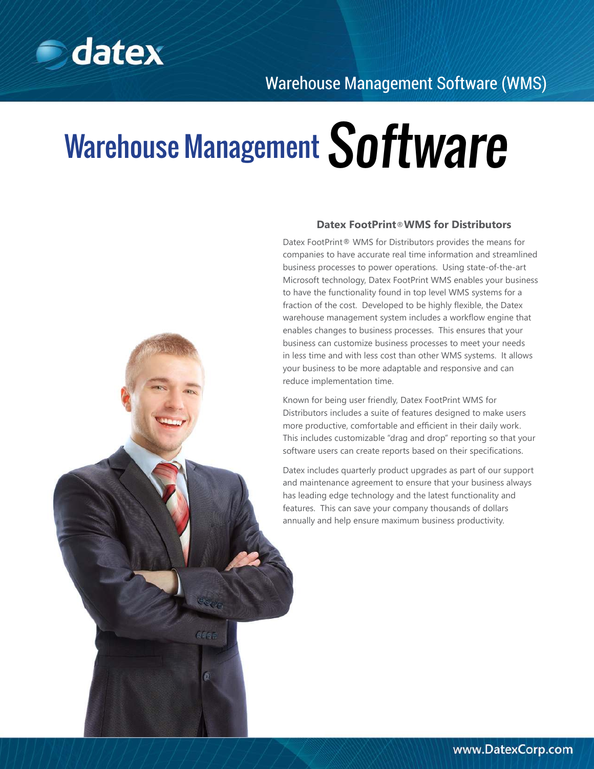

# Warehouse Management Software



### **Datex FootPrint**®**WMS for Distributors**

Datex FootPrint® WMS for Distributors provides the means for companies to have accurate real time information and streamlined business processes to power operations. Using state-of-the-art Microsoft technology, Datex FootPrint WMS enables your business to have the functionality found in top level WMS systems for a fraction of the cost. Developed to be highly flexible, the Datex warehouse management system includes a workflow engine that enables changes to business processes. This ensures that your business can customize business processes to meet your needs in less time and with less cost than other WMS systems. It allows your business to be more adaptable and responsive and can reduce implementation time.

Known for being user friendly, Datex FootPrint WMS for Distributors includes a suite of features designed to make users more productive, comfortable and efficient in their daily work. This includes customizable "drag and drop" reporting so that your software users can create reports based on their specifications.

Datex includes quarterly product upgrades as part of our support and maintenance agreement to ensure that your business always has leading edge technology and the latest functionality and features. This can save your company thousands of dollars annually and help ensure maximum business productivity.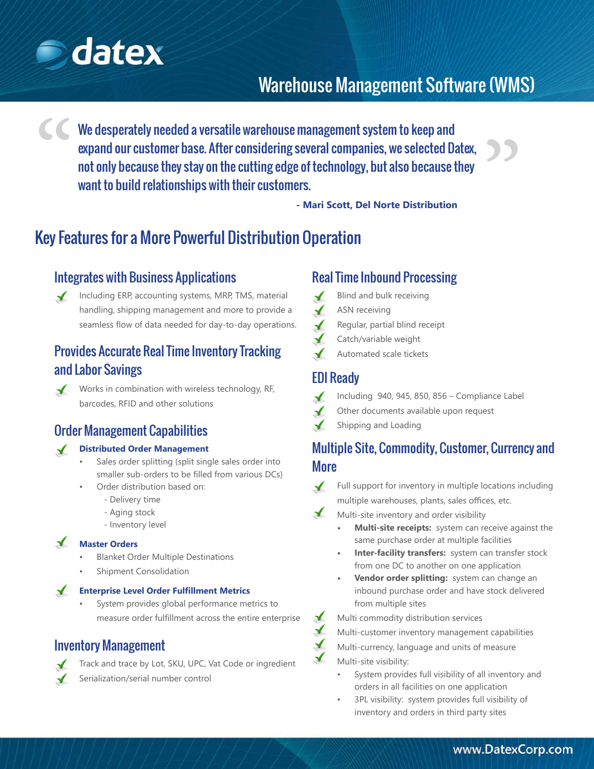

# Warehouse Management Software (WMS)

We desperately needed a versatile warehouse management system to keep and expand our customer base. After considering several companies, we selected Datex, not only because they stay on the cutting edge of technology, but also because they want to build relationships with their customers. ))<br>) "

**- Mari Scott, Del Norte Distribution**

# Key Features for a More Powerful Distribution Operation

### Integrates with Business Applications

Including ERP, accounting systems, MRP, TMS, material  $\sqrt{ }$ handling, shipping management and more to provide a seamless flow of data needed for day-to-day operations.

### Provides Accurate Real Time Inventory Tracking and Labor Savings



Works in combination with wireless technology, RF, barcodes, RFID and other solutions

### Order Management Capabilities

#### **Distributed Order Management**  $\sqrt{ }$

- Sales order splitting (split single sales order into smaller sub-orders to be filled from various DCs)
- Order distribution based on:
	- Delivery time
	- Aging stock
	- Inventory level

### $\sqrt{ }$ **Master Orders**

- Blanket Order Multiple Destinations
- Shipment Consolidation

#### $\sqrt{ }$ **Enterprise Level Order Fulfillment Metrics**

System provides global performance metrics to measure order fulfillment across the entire enterprise

### Inventory Management



Serialization/serial number control

### Real Time Inbound Processing

- $\checkmark$ Blind and bulk receiving
- ASN receiving
- $\checkmark$ Regular, partial blind receipt
- Catch/variable weight  $\blacktriangle$
- Automated scale tickets

### EDI Ready

- Including 940, 945, 850, 856 Compliance Label  $\checkmark$
- Other documents available upon request
- Shipping and Loading

## Multiple Site, Commodity, Customer, Currency and More

- $\sqrt{ }$ Full support for inventory in multiple locations including multiple warehouses, plants, sales offices, etc.
- $\blacktriangle$ Multi-site inventory and order visibility
	- **Multi-site receipts:** system can receive against the same purchase order at multiple facilities
	- **Inter-facility transfers:** system can transfer stock from one DC to another on one application
	- **Vendor order splitting:** system can change an inbound purchase order and have stock delivered from multiple sites
	- Multi commodity distribution services
	- Multi-customer inventory management capabilities
- $\mathbf{X}$ Multi-currency, language and units of measure

Multi-site visibility:

 $\blacktriangle$  $\blacktriangle$ 

- System provides full visibility of all inventory and orders in all facilities on one application
- 3PL visibility: system provides full visibility of inventory and orders in third party sites